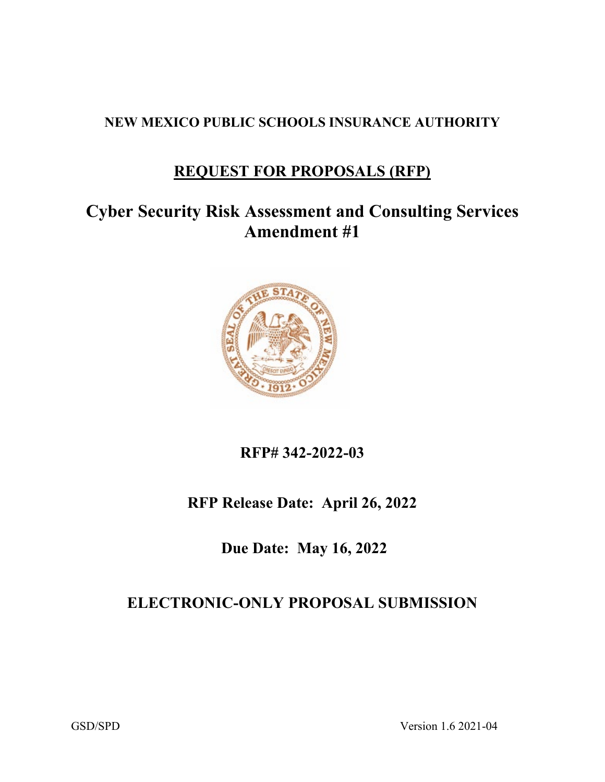#### **NEW MEXICO PUBLIC SCHOOLS INSURANCE AUTHORITY**

### **REQUEST FOR PROPOSALS (RFP)**

# **Cyber Security Risk Assessment and Consulting Services Amendment #1**



### **RFP# 342-2022-03**

### **RFP Release Date: April 26, 2022**

**Due Date: May 16, 2022**

### **ELECTRONIC-ONLY PROPOSAL SUBMISSION**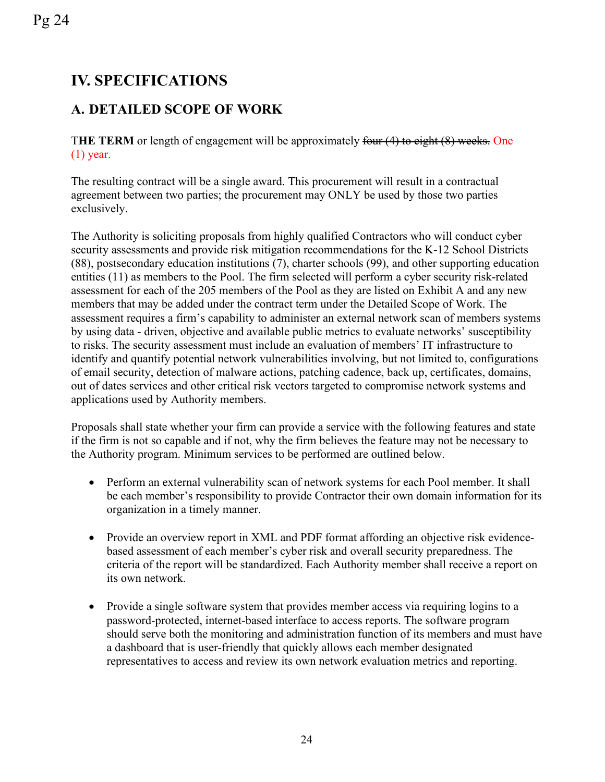## **IV. SPECIFICATIONS**

Pg 24

#### **A. DETAILED SCOPE OF WORK**

T**HE TERM** or length of engagement will be approximately four (4) to eight (8) weeks. One (1) year.

The resulting contract will be a single award. This procurement will result in a contractual agreement between two parties; the procurement may ONLY be used by those two parties exclusively.

The Authority is soliciting proposals from highly qualified Contractors who will conduct cyber security assessments and provide risk mitigation recommendations for the K-12 School Districts (88), postsecondary education institutions (7), charter schools (99), and other supporting education entities (11) as members to the Pool. The firm selected will perform a cyber security risk-related assessment for each of the 205 members of the Pool as they are listed on Exhibit A and any new members that may be added under the contract term under the Detailed Scope of Work. The assessment requires a firm's capability to administer an external network scan of members systems by using data - driven, objective and available public metrics to evaluate networks' susceptibility to risks. The security assessment must include an evaluation of members' IT infrastructure to identify and quantify potential network vulnerabilities involving, but not limited to, configurations of email security, detection of malware actions, patching cadence, back up, certificates, domains, out of dates services and other critical risk vectors targeted to compromise network systems and applications used by Authority members.

Proposals shall state whether your firm can provide a service with the following features and state if the firm is not so capable and if not, why the firm believes the feature may not be necessary to the Authority program. Minimum services to be performed are outlined below.

- Perform an external vulnerability scan of network systems for each Pool member. It shall be each member's responsibility to provide Contractor their own domain information for its organization in a timely manner.
- Provide an overview report in XML and PDF format affording an objective risk evidencebased assessment of each member's cyber risk and overall security preparedness. The criteria of the report will be standardized. Each Authority member shall receive a report on its own network.
- Provide a single software system that provides member access via requiring logins to a password-protected, internet-based interface to access reports. The software program should serve both the monitoring and administration function of its members and must have a dashboard that is user-friendly that quickly allows each member designated representatives to access and review its own network evaluation metrics and reporting.